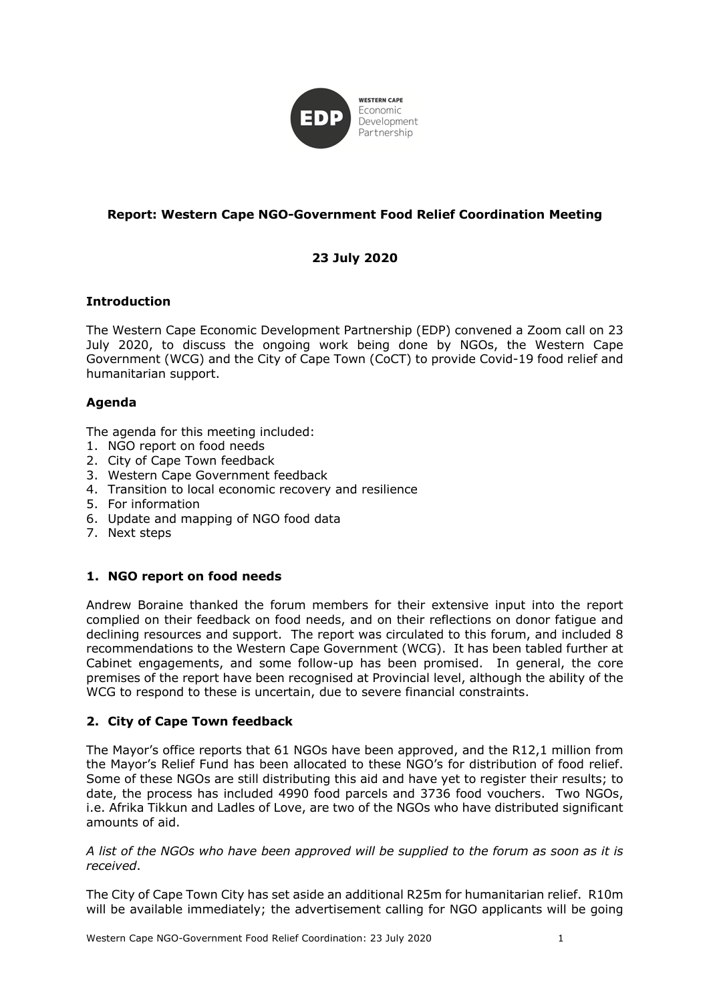

## **Report: Western Cape NGO-Government Food Relief Coordination Meeting**

# **23 July 2020**

### **Introduction**

The Western Cape Economic Development Partnership (EDP) convened a Zoom call on 23 July 2020, to discuss the ongoing work being done by NGOs, the Western Cape Government (WCG) and the City of Cape Town (CoCT) to provide Covid-19 food relief and humanitarian support.

### **Agenda**

The agenda for this meeting included:

- 1. NGO report on food needs
- 2. City of Cape Town feedback
- 3. Western Cape Government feedback
- 4. Transition to local economic recovery and resilience
- 5. For information
- 6. Update and mapping of NGO food data
- 7. Next steps

#### **1. NGO report on food needs**

Andrew Boraine thanked the forum members for their extensive input into the report complied on their feedback on food needs, and on their reflections on donor fatigue and declining resources and support. The report was circulated to this forum, and included 8 recommendations to the Western Cape Government (WCG). It has been tabled further at Cabinet engagements, and some follow-up has been promised. In general, the core premises of the report have been recognised at Provincial level, although the ability of the WCG to respond to these is uncertain, due to severe financial constraints.

#### **2. City of Cape Town feedback**

The Mayor's office reports that 61 NGOs have been approved, and the R12,1 million from the Mayor's Relief Fund has been allocated to these NGO's for distribution of food relief. Some of these NGOs are still distributing this aid and have yet to register their results; to date, the process has included 4990 food parcels and 3736 food vouchers. Two NGOs, i.e. Afrika Tikkun and Ladles of Love, are two of the NGOs who have distributed significant amounts of aid.

*A list of the NGOs who have been approved will be supplied to the forum as soon as it is received*.

The City of Cape Town City has set aside an additional R25m for humanitarian relief. R10m will be available immediately; the advertisement calling for NGO applicants will be going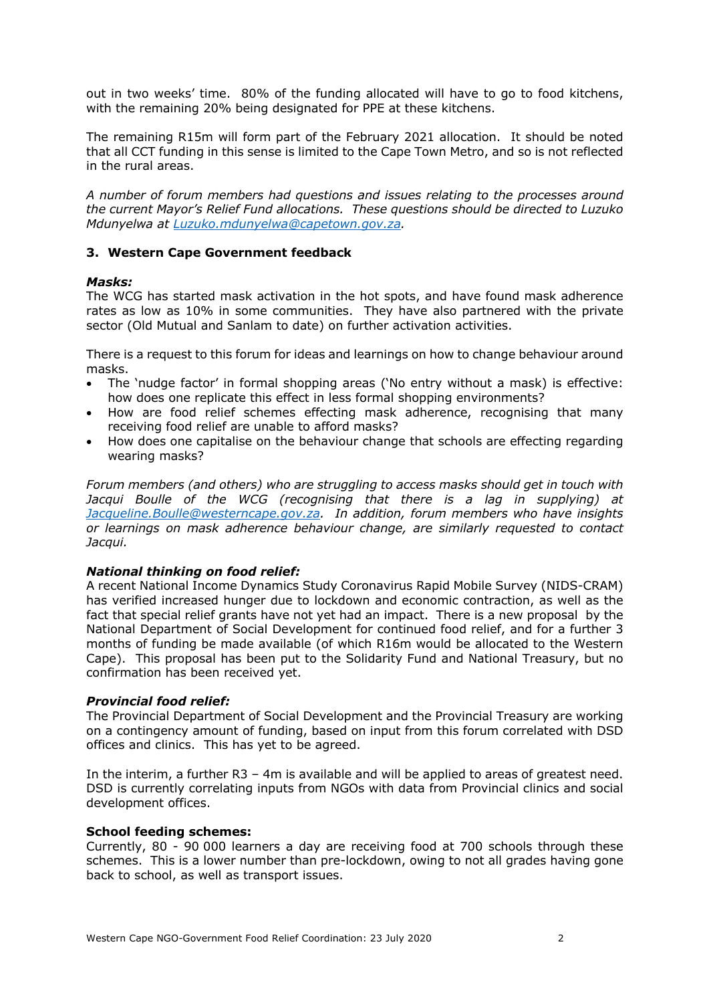out in two weeks' time. 80% of the funding allocated will have to go to food kitchens, with the remaining 20% being designated for PPE at these kitchens.

The remaining R15m will form part of the February 2021 allocation. It should be noted that all CCT funding in this sense is limited to the Cape Town Metro, and so is not reflected in the rural areas.

*A number of forum members had questions and issues relating to the processes around the current Mayor's Relief Fund allocations. These questions should be directed to Luzuko Mdunyelwa at Luzuko.mdunyelwa@capetown.gov.za.* 

#### **3. Western Cape Government feedback**

#### *Masks:*

The WCG has started mask activation in the hot spots, and have found mask adherence rates as low as 10% in some communities. They have also partnered with the private sector (Old Mutual and Sanlam to date) on further activation activities.

There is a request to this forum for ideas and learnings on how to change behaviour around masks.

- The 'nudge factor' in formal shopping areas ('No entry without a mask) is effective: how does one replicate this effect in less formal shopping environments?
- How are food relief schemes effecting mask adherence, recognising that many receiving food relief are unable to afford masks?
- How does one capitalise on the behaviour change that schools are effecting regarding wearing masks?

*Forum members (and others) who are struggling to access masks should get in touch with Jacqui Boulle of the WCG (recognising that there is a lag in supplying) at Jacqueline.Boulle@westerncape.gov.za. In addition, forum members who have insights or learnings on mask adherence behaviour change, are similarly requested to contact Jacqui.*

#### *National thinking on food relief:*

A recent National Income Dynamics Study Coronavirus Rapid Mobile Survey (NIDS-CRAM) has verified increased hunger due to lockdown and economic contraction, as well as the fact that special relief grants have not yet had an impact. There is a new proposal by the National Department of Social Development for continued food relief, and for a further 3 months of funding be made available (of which R16m would be allocated to the Western Cape). This proposal has been put to the Solidarity Fund and National Treasury, but no confirmation has been received yet.

#### *Provincial food relief:*

The Provincial Department of Social Development and the Provincial Treasury are working on a contingency amount of funding, based on input from this forum correlated with DSD offices and clinics. This has yet to be agreed.

In the interim, a further R3 – 4m is available and will be applied to areas of greatest need. DSD is currently correlating inputs from NGOs with data from Provincial clinics and social development offices.

#### **School feeding schemes:**

Currently, 80 - 90 000 learners a day are receiving food at 700 schools through these schemes. This is a lower number than pre-lockdown, owing to not all grades having gone back to school, as well as transport issues.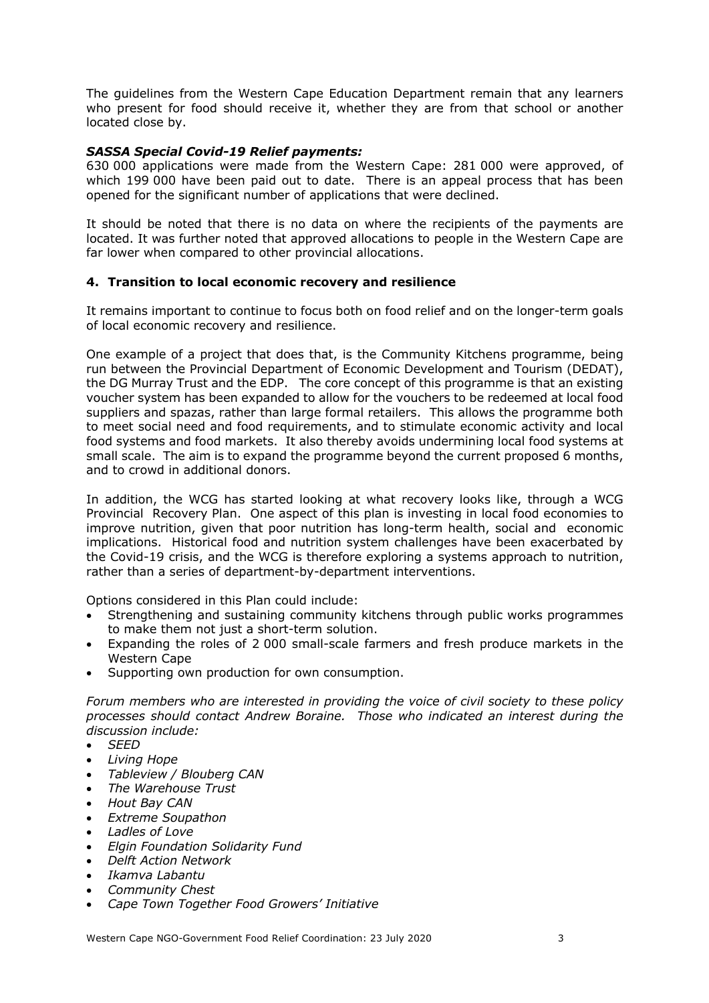The guidelines from the Western Cape Education Department remain that any learners who present for food should receive it, whether they are from that school or another located close by.

### *SASSA Special Covid-19 Relief payments:*

630 000 applications were made from the Western Cape: 281 000 were approved, of which 199 000 have been paid out to date. There is an appeal process that has been opened for the significant number of applications that were declined.

It should be noted that there is no data on where the recipients of the payments are located. It was further noted that approved allocations to people in the Western Cape are far lower when compared to other provincial allocations.

### **4. Transition to local economic recovery and resilience**

It remains important to continue to focus both on food relief and on the longer-term goals of local economic recovery and resilience.

One example of a project that does that, is the Community Kitchens programme, being run between the Provincial Department of Economic Development and Tourism (DEDAT), the DG Murray Trust and the EDP. The core concept of this programme is that an existing voucher system has been expanded to allow for the vouchers to be redeemed at local food suppliers and spazas, rather than large formal retailers. This allows the programme both to meet social need and food requirements, and to stimulate economic activity and local food systems and food markets. It also thereby avoids undermining local food systems at small scale. The aim is to expand the programme beyond the current proposed 6 months, and to crowd in additional donors.

In addition, the WCG has started looking at what recovery looks like, through a WCG Provincial Recovery Plan. One aspect of this plan is investing in local food economies to improve nutrition, given that poor nutrition has long-term health, social and economic implications. Historical food and nutrition system challenges have been exacerbated by the Covid-19 crisis, and the WCG is therefore exploring a systems approach to nutrition, rather than a series of department-by-department interventions.

Options considered in this Plan could include:

- Strengthening and sustaining community kitchens through public works programmes to make them not just a short-term solution.
- Expanding the roles of 2 000 small-scale farmers and fresh produce markets in the Western Cape
- Supporting own production for own consumption.

*Forum members who are interested in providing the voice of civil society to these policy processes should contact Andrew Boraine. Those who indicated an interest during the discussion include:*

- *SEED*
- *Living Hope*
- *Tableview / Blouberg CAN*
- *The Warehouse Trust*
- *Hout Bay CAN*
- *Extreme Soupathon*
- *Ladles of Love*
- *Elgin Foundation Solidarity Fund*
- *Delft Action Network*
- *Ikamva Labantu*
- *Community Chest*
- *Cape Town Together Food Growers' Initiative*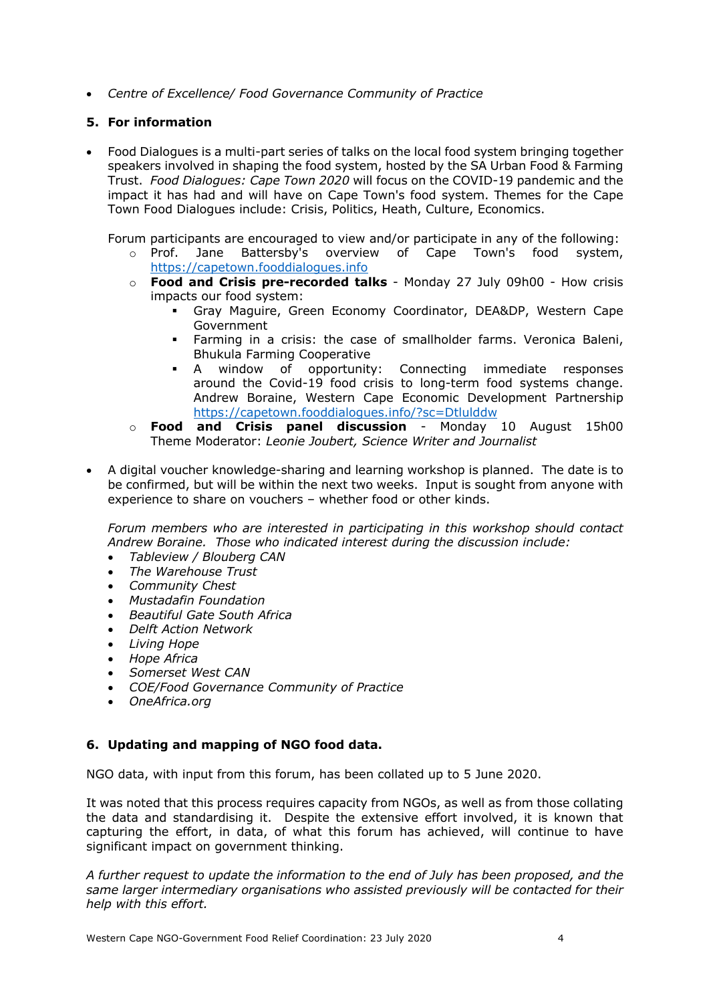• *Centre of Excellence/ Food Governance Community of Practice*

### **5. For information**

• Food Dialogues is a multi-part series of talks on the local food system bringing together speakers involved in shaping the food system, hosted by the SA Urban Food & Farming Trust. *Food Dialogues: Cape Town 2020* will focus on the COVID-19 pandemic and the impact it has had and will have on Cape Town's food system. Themes for the Cape Town Food Dialogues include: Crisis, Politics, Heath, Culture, Economics.

Forum participants are encouraged to view and/or participate in any of the following:

- o Prof. Jane Battersby's overview of Cape Town's food system, https://capetown.fooddialogues.info
- o **Food and Crisis pre-recorded talks**  Monday 27 July 09h00 How crisis impacts our food system:
	- § Gray Maguire, Green Economy Coordinator, DEA&DP, Western Cape Government
	- § Farming in a crisis: the case of smallholder farms. Veronica Baleni, Bhukula Farming Cooperative
	- § A window of opportunity: Connecting immediate responses around the Covid-19 food crisis to long-term food systems change. Andrew Boraine, Western Cape Economic Development Partnership https://capetown.fooddialogues.info/?sc=Dtlulddw
- o **Food and Crisis panel discussion**  Monday 10 August 15h00 Theme Moderator: *Leonie Joubert, Science Writer and Journalist*
- A digital voucher knowledge-sharing and learning workshop is planned. The date is to be confirmed, but will be within the next two weeks. Input is sought from anyone with experience to share on vouchers – whether food or other kinds.

*Forum members who are interested in participating in this workshop should contact Andrew Boraine. Those who indicated interest during the discussion include:* 

- *Tableview / Blouberg CAN*
- *The Warehouse Trust*
- *Community Chest*
- *Mustadafin Foundation*
- *Beautiful Gate South Africa*
- *Delft Action Network*
- *Living Hope*
- *Hope Africa*
- *Somerset West CAN*
- *COE/Food Governance Community of Practice*
- *OneAfrica.org*

### **6. Updating and mapping of NGO food data.**

NGO data, with input from this forum, has been collated up to 5 June 2020.

It was noted that this process requires capacity from NGOs, as well as from those collating the data and standardising it. Despite the extensive effort involved, it is known that capturing the effort, in data, of what this forum has achieved, will continue to have significant impact on government thinking.

*A further request to update the information to the end of July has been proposed, and the same larger intermediary organisations who assisted previously will be contacted for their help with this effort.*